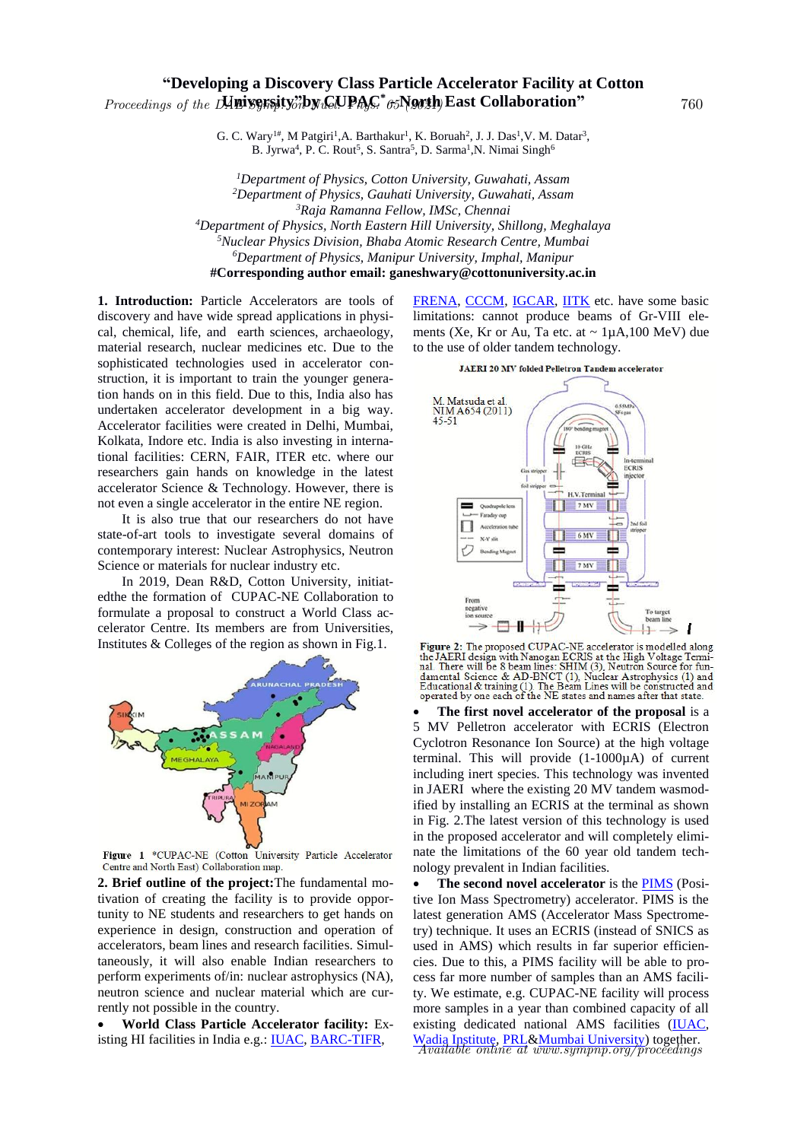## **"Developing a Discovery Class Particle Accelerator Facility at Cotton**  Proceedings of the DAE System CUPAC<sup>\*</sup> 65 North East Collaboration" 760

G. C. Wary<sup>1#</sup>, M Patgiri<sup>1</sup>, A. Barthakur<sup>1</sup>, K. Boruah<sup>2</sup>, J. J. Das<sup>1</sup>, V. M. Datar<sup>3</sup>, B. Jyrwa<sup>4</sup>, P. C. Rout<sup>5</sup>, S. Santra<sup>5</sup>, D. Sarma<sup>1</sup>, N. Nimai Singh<sup>6</sup>

*Department of Physics, Cotton University, Guwahati, Assam Department of Physics, Gauhati University, Guwahati, Assam Raja Ramanna Fellow, IMSc, Chennai Department of Physics, North Eastern Hill University, Shillong, Meghalaya Nuclear Physics Division, Bhaba Atomic Research Centre, Mumbai Department of Physics, Manipur University, Imphal, Manipur* **#Corresponding author email: ganeshwary@cottonuniversity.ac.in**

**1. Introduction:** Particle Accelerators are tools of discovery and have wide spread applications in physical, chemical, life, and earth sciences, archaeology, material research, nuclear medicines etc. Due to the sophisticated technologies used in accelerator construction, it is important to train the younger generation hands on in this field. Due to this, India also has undertaken accelerator development in a big way. Accelerator facilities were created in Delhi, Mumbai, Kolkata, Indore etc. India is also investing in international facilities: CERN, FAIR, ITER etc. where our researchers gain hands on knowledge in the latest accelerator Science & Technology. However, there is not even a single accelerator in the entire NE region.

It is also true that our researchers do not have state-of-art tools to investigate several domains of contemporary interest: Nuclear Astrophysics, Neutron Science or materials for nuclear industry etc.

In 2019, Dean R&D, Cotton University, initiatedthe the formation of CUPAC-NE Collaboration to formulate a proposal to construct a World Class accelerator Centre. Its members are from Universities, Institutes & Colleges of the region as shown in Fig.1.



Figure 1 \*CUPAC-NE (Cotton University Particle Accelerator Centre and North East) Collaboration map.

**2. Brief outline of the project:**The fundamental motivation of creating the facility is to provide opportunity to NE students and researchers to get hands on experience in design, construction and operation of accelerators, beam lines and research facilities. Simultaneously, it will also enable Indian researchers to perform experiments of/in: nuclear astrophysics (NA), neutron science and nuclear material which are currently not possible in the country.

 **World Class Particle Accelerator facility:** Existing HI facilities in India e.g.: IUAC, BARC-TIFR,

FRENA, CCCM, IGCAR, IITK etc. have some basic limitations: cannot produce beams of Gr-VIII elements (Xe, Kr or Au, Ta etc. at  $\sim 1 \mu A$ , 100 MeV) due to the use of older tandem technology.



Figure 2: The proposed CUPAC-NE accelerator is modelled along<br>the JAERI design with Nanogan ECRIS at the High Voltage Terminal. There will be 8 beam lines: SHIM (3), Neutron Source for fundamental Science & AD-BNCT (1), Nuclear Astrophysics (1) and<br>Educational & training (1). The Beam Lines will be constructed and<br>operated by one each of the NE states and names after that state.

 **The first novel accelerator of the proposal** is a 5 MV Pelletron accelerator with ECRIS (Electron Cyclotron Resonance Ion Source) at the high voltage terminal. This will provide (1-1000µA) of current including inert species. This technology was invented in JAERI where the existing 20 MV tandem wasmodified by installing an ECRIS at the terminal as shown in Fig. 2.The latest version of this technology is used in the proposed accelerator and will completely eliminate the limitations of the 60 year old tandem technology prevalent in Indian facilities.

 **The second novel accelerator** is the PIMS (Positive Ion Mass Spectrometry) accelerator. PIMS is the latest generation AMS (Accelerator Mass Spectrometry) technique. It uses an ECRIS (instead of SNICS as used in AMS) which results in far superior efficiencies. Due to this, a PIMS facility will be able to process far more number of samples than an AMS facility. We estimate, e.g. CUPAC-NE facility will process more samples in a year than combined capacity of all existing dedicated national AMS facilities (IUAC, Wadia Institute, PRL&Mumbai University) together. Available online at www.sympnp.org/proceedings